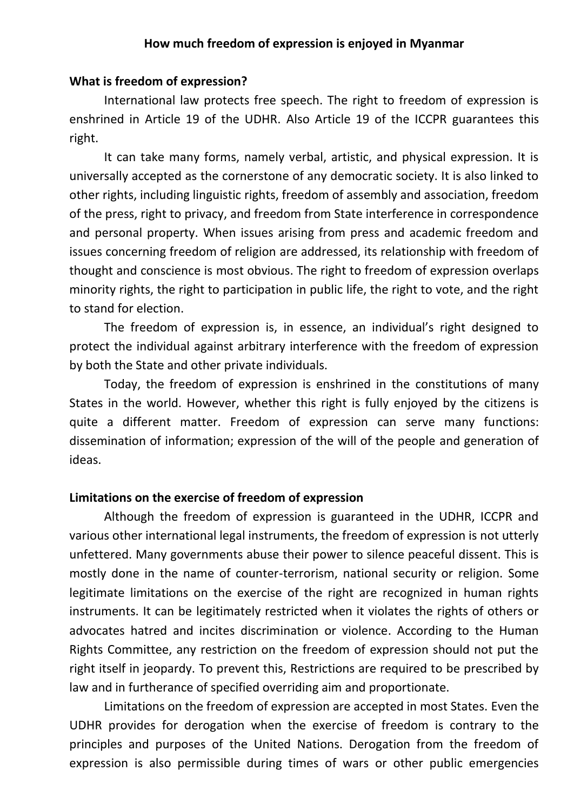## **How much freedom of expression is enjoyed in Myanmar**

### **What is freedom of expression?**

International law protects free speech. The right to freedom of expression is enshrined in Article 19 of the UDHR. Also Article 19 of the ICCPR guarantees this right.

It can take many forms, namely verbal, artistic, and physical expression. It is universally accepted as the cornerstone of any democratic society. It is also linked to other rights, including linguistic rights, freedom of assembly and association, freedom of the press, right to privacy, and freedom from State interference in correspondence and personal property. When issues arising from press and academic freedom and issues concerning freedom of religion are addressed, its relationship with freedom of thought and conscience is most obvious. The right to freedom of expression overlaps minority rights, the right to participation in public life, the right to vote, and the right to stand for election.

The freedom of expression is, in essence, an individual's right designed to protect the individual against arbitrary interference with the freedom of expression by both the State and other private individuals.

Today, the freedom of expression is enshrined in the constitutions of many States in the world. However, whether this right is fully enjoyed by the citizens is quite a different matter. Freedom of expression can serve many functions: dissemination of information; expression of the will of the people and generation of ideas.

#### **Limitations on the exercise of freedom of expression**

Although the freedom of expression is guaranteed in the UDHR, ICCPR and various other international legal instruments, the freedom of expression is not utterly unfettered. Many governments abuse their power to silence peaceful dissent. This is mostly done in the name of counter-terrorism, national security or religion. Some legitimate limitations on the exercise of the right are recognized in human rights instruments. It can be legitimately restricted when it violates the rights of others or advocates hatred and incites discrimination or violence. According to the Human Rights Committee, any restriction on the freedom of expression should not put the right itself in jeopardy. To prevent this, Restrictions are required to be prescribed by law and in furtherance of specified overriding aim and proportionate.

Limitations on the freedom of expression are accepted in most States. Even the UDHR provides for derogation when the exercise of freedom is contrary to the principles and purposes of the United Nations. Derogation from the freedom of expression is also permissible during times of wars or other public emergencies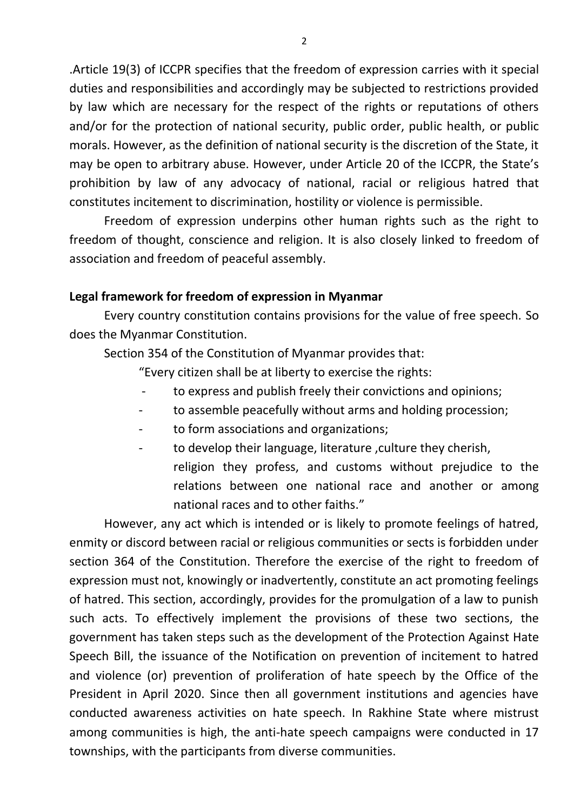.Article 19(3) of ICCPR specifies that the freedom of expression carries with it special duties and responsibilities and accordingly may be subjected to restrictions provided by law which are necessary for the respect of the rights or reputations of others and/or for the protection of national security, public order, public health, or public morals. However, as the definition of national security is the discretion of the State, it may be open to arbitrary abuse. However, under Article 20 of the ICCPR, the State's prohibition by law of any advocacy of national, racial or religious hatred that constitutes incitement to discrimination, hostility or violence is permissible.

Freedom of expression underpins other human rights such as the right to freedom of thought, conscience and religion. It is also closely linked to freedom of association and freedom of peaceful assembly.

## **Legal framework for freedom of expression in Myanmar**

Every country constitution contains provisions for the value of free speech. So does the Myanmar Constitution.

Section 354 of the Constitution of Myanmar provides that:

"Every citizen shall be at liberty to exercise the rights:

- to express and publish freely their convictions and opinions;
- to assemble peacefully without arms and holding procession;
- to form associations and organizations;
- to develop their language, literature, culture they cherish, religion they profess, and customs without prejudice to the relations between one national race and another or among national races and to other faiths."

However, any act which is intended or is likely to promote feelings of hatred, enmity or discord between racial or religious communities or sects is forbidden under section 364 of the Constitution. Therefore the exercise of the right to freedom of expression must not, knowingly or inadvertently, constitute an act promoting feelings of hatred. This section, accordingly, provides for the promulgation of a law to punish such acts. To effectively implement the provisions of these two sections, the government has taken steps such as the development of the Protection Against Hate Speech Bill, the issuance of the Notification on prevention of incitement to hatred and violence (or) prevention of proliferation of hate speech by the Office of the President in April 2020. Since then all government institutions and agencies have conducted awareness activities on hate speech. In Rakhine State where mistrust among communities is high, the anti-hate speech campaigns were conducted in 17 townships, with the participants from diverse communities.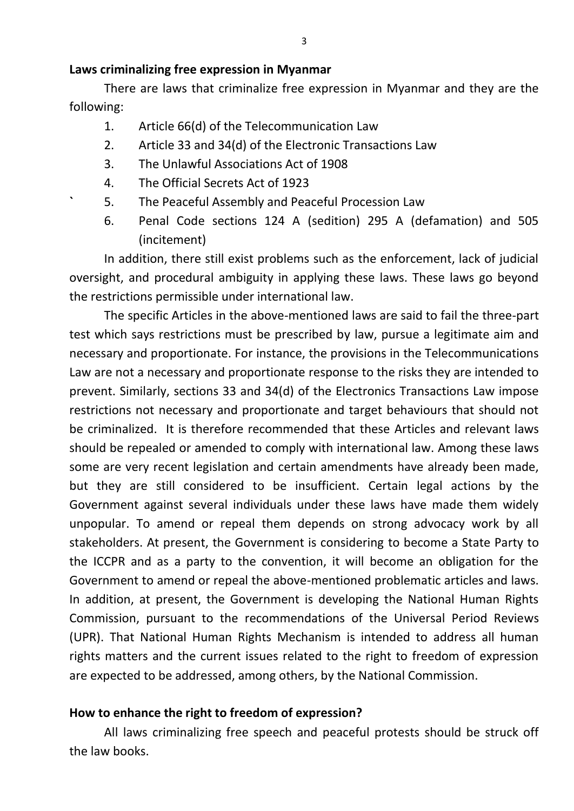## **Laws criminalizing free expression in Myanmar**

There are laws that criminalize free expression in Myanmar and they are the following:

- 1. Article 66(d) of the Telecommunication Law
- 2. Article 33 and 34(d) of the Electronic Transactions Law
- 3. The Unlawful Associations Act of 1908
- 4. The Official Secrets Act of 1923
- **`** 5. The Peaceful Assembly and Peaceful Procession Law
- 6. Penal Code sections 124 A (sedition) 295 A (defamation) and 505 (incitement)

In addition, there still exist problems such as the enforcement, lack of judicial oversight, and procedural ambiguity in applying these laws. These laws go beyond the restrictions permissible under international law.

The specific Articles in the above-mentioned laws are said to fail the three-part test which says restrictions must be prescribed by law, pursue a legitimate aim and necessary and proportionate. For instance, the provisions in the Telecommunications Law are not a necessary and proportionate response to the risks they are intended to prevent. Similarly, sections 33 and 34(d) of the Electronics Transactions Law impose restrictions not necessary and proportionate and target behaviours that should not be criminalized. It is therefore recommended that these Articles and relevant laws should be repealed or amended to comply with international law. Among these laws some are very recent legislation and certain amendments have already been made, but they are still considered to be insufficient. Certain legal actions by the Government against several individuals under these laws have made them widely unpopular. To amend or repeal them depends on strong advocacy work by all stakeholders. At present, the Government is considering to become a State Party to the ICCPR and as a party to the convention, it will become an obligation for the Government to amend or repeal the above-mentioned problematic articles and laws. In addition, at present, the Government is developing the National Human Rights Commission, pursuant to the recommendations of the Universal Period Reviews (UPR). That National Human Rights Mechanism is intended to address all human rights matters and the current issues related to the right to freedom of expression are expected to be addressed, among others, by the National Commission.

# **How to enhance the right to freedom of expression?**

All laws criminalizing free speech and peaceful protests should be struck off the law books.